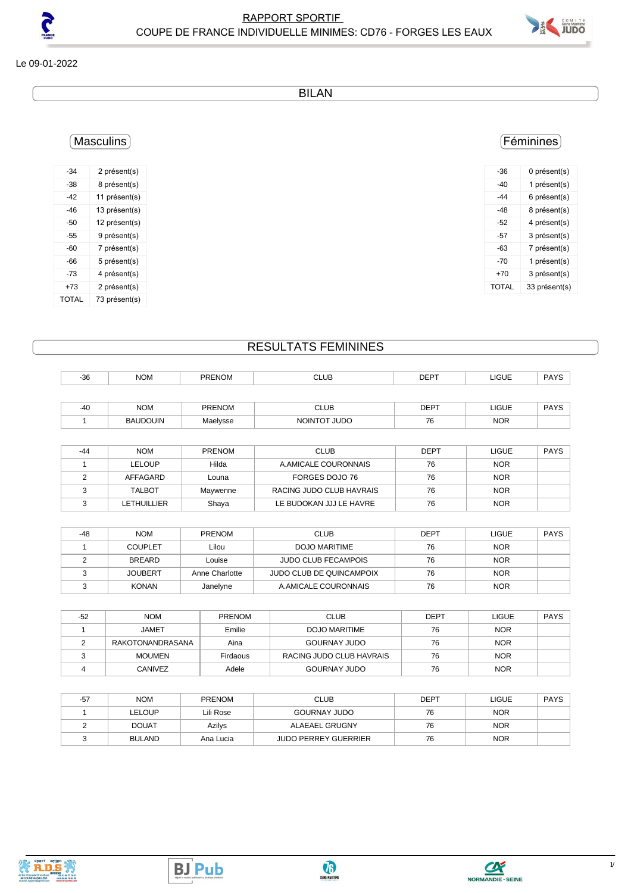

Le 09-01-2022

BILAN

# Masculins

| -34   | 2 présent(s)  |
|-------|---------------|
| -38   | 8 présent(s)  |
| -42   | 11 présent(s) |
| -46   | 13 présent(s) |
| -50   | 12 présent(s) |
| -55   | 9 présent(s)  |
| -60   | 7 présent(s)  |
| -66   | 5 présent(s)  |
| -73   | 4 présent(s)  |
| +73   | 2 présent(s)  |
| TOTAL | 73 présent(s) |

## Féminines

| -36   | 0 présent(s)  |
|-------|---------------|
| -40   | 1 présent(s)  |
| $-44$ | 6 présent(s)  |
| $-48$ | 8 présent(s)  |
| -52   | 4 présent(s)  |
| -57   | 3 présent(s)  |
| -63   | 7 présent(s)  |
| -70   | 1 présent(s)  |
| +70   | 3 présent(s)  |
| TOTAL | 33 présent(s) |
|       |               |

## RESULTATS FEMININES

| $-36$ | <b>NOM</b> | <b>PRENOM</b> | <b>CLUB</b> | <b>DEPT</b> | <b>LIGUE</b> | <b>PAYS</b> |
|-------|------------|---------------|-------------|-------------|--------------|-------------|
|       |            |               |             |             |              |             |
| $-40$ | <b>NOM</b> | <b>PRENOM</b> | <b>CLUB</b> | <b>DEPT</b> | <b>LIGUE</b> | PAYS        |

| <b>BAUDOUIN</b> | Maelysse | <b>JUDO</b><br><b>NOINTOT</b> | 76 | <b>NOR</b> |  |
|-----------------|----------|-------------------------------|----|------------|--|
|                 |          |                               |    |            |  |

| -44 | <b>NOM</b>    | <b>PRENOM</b> | <b>CLUB</b>              | <b>DEPT</b> | LIGUE      | <b>PAYS</b> |
|-----|---------------|---------------|--------------------------|-------------|------------|-------------|
|     | <b>LELOUP</b> | Hilda         | A.AMICALE COURONNAIS     | 76          | <b>NOR</b> |             |
|     | AFFAGARD      | Louna         | FORGES DOJO 76           | 76          | <b>NOR</b> |             |
|     | <b>TALBOT</b> | Maywenne      | RACING JUDO CLUB HAVRAIS | 76          | <b>NOR</b> |             |
|     | LETHUILLIER   | Shaya         | LE BUDOKAN JJJ LE HAVRE  | 76          | <b>NOR</b> |             |

| -48 | <b>NOM</b>     | <b>PRENOM</b>  | <b>CLUB</b>                     | <b>DEPT</b> | LIGUE      | <b>PAYS</b> |
|-----|----------------|----------------|---------------------------------|-------------|------------|-------------|
|     | <b>COUPLET</b> | Lilou          | DOJO MARITIME                   | 76          | <b>NOR</b> |             |
|     | <b>BREARD</b>  | Louise         | <b>JUDO CLUB FECAMPOIS</b>      | 76          | <b>NOR</b> |             |
|     | <b>JOUBERT</b> | Anne Charlotte | <b>JUDO CLUB DE QUINCAMPOIX</b> | 76          | <b>NOR</b> |             |
|     | <b>KONAN</b>   | Janelyne       | A AMICALE COURONNAIS            | 76          | <b>NOR</b> |             |

| -52 | <b>NOM</b>       | <b>PRENOM</b> | CLUB                     | <b>DEPT</b> | <b>LIGUE</b> | <b>PAYS</b> |
|-----|------------------|---------------|--------------------------|-------------|--------------|-------------|
|     | JAMET            | Emilie        | DOJO MARITIME            | 76          | <b>NOR</b>   |             |
|     | RAKOTONANDRASANA | Aina          | <b>GOURNAY JUDO</b>      | 76          | <b>NOR</b>   |             |
|     | <b>MOUMEN</b>    | Firdaous      | RACING JUDO CLUB HAVRAIS | 76          | <b>NOR</b>   |             |
|     | CANIVEZ          | Adele         | <b>GOURNAY JUDO</b>      | 76          | <b>NOR</b>   |             |

| $-57$ | <b>NOM</b>    | <b>PRENOM</b> | <b>CLUB</b>                 | <b>DEPT</b> | LIGUE      | <b>PAYS</b> |
|-------|---------------|---------------|-----------------------------|-------------|------------|-------------|
|       | LELOUP        | Lili Rose     | <b>GOURNAY JUDO</b>         | 76          | <b>NOR</b> |             |
|       | <b>DOUAT</b>  | Azilys        | ALAEAEL GRUGNY              | 76          | <b>NOR</b> |             |
|       | <b>BULAND</b> | Ana Lucia     | <b>JUDO PERREY GUERRIER</b> | 76          | <b>NOR</b> |             |





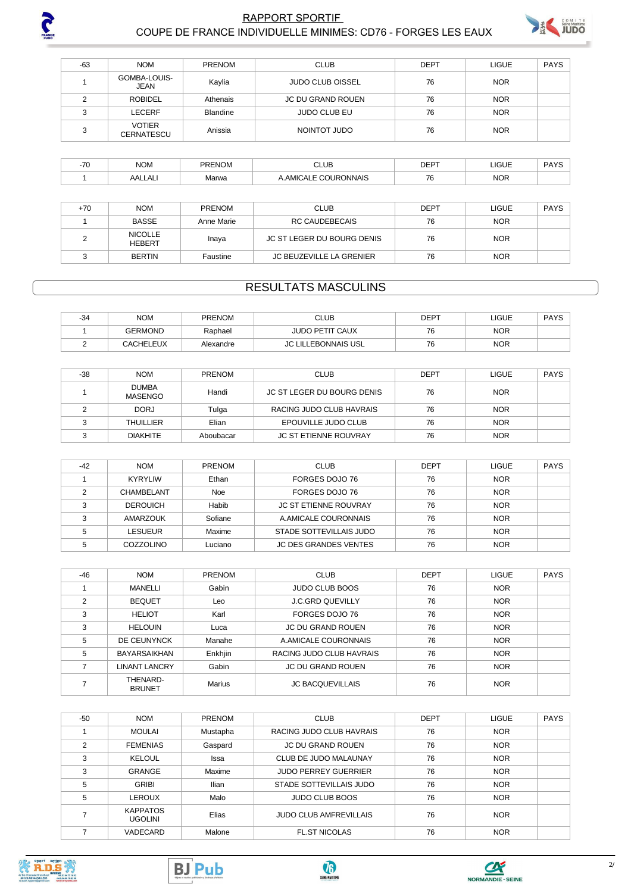

#### **RAPPORT SPORTIF** COUPE DE FRANCE INDIVIDUELLE MINIMES: CD76 - FORGES LES EAUX



| -63    | <b>NOM</b>                         | <b>PRENOM</b>   | <b>CLUB</b>             | <b>DEPT</b> | <b>LIGUE</b> | <b>PAYS</b> |
|--------|------------------------------------|-----------------|-------------------------|-------------|--------------|-------------|
|        | GOMBA-LOUIS-<br>JEAN               | Kaylia          | <b>JUDO CLUB OISSEL</b> | 76          | <b>NOR</b>   |             |
|        | <b>ROBIDEL</b>                     | Athenais        | JC DU GRAND ROUEN       | 76          | <b>NOR</b>   |             |
|        | LECERF                             | <b>Blandine</b> | <b>JUDO CLUB EU</b>     | 76          | <b>NOR</b>   |             |
| $\sim$ | <b>VOTIER</b><br><b>CERNATESCU</b> | Anissia         | NOINTOT JUDO            | 76          | <b>NOR</b>   |             |
|        |                                    |                 |                         |             |              |             |

| 70 | $\sum_{i=1}^{n}$<br>'NUIV | PRENOM | CLUB                                        | <b>DEDT</b><br>ᇆ | <b>JGUE</b> | DAVC<br>טורז |
|----|---------------------------|--------|---------------------------------------------|------------------|-------------|--------------|
|    | AALLAL                    | Marwa  | <b>COURONNAIS</b><br>$\ldots$ $\sim$ $\sim$ | 76<br>70         | <b>NOR</b>  |              |

| +70 | <b>NOM</b>                      | <b>PRENOM</b> | <b>CLUB</b>                | <b>DEPT</b> | LIGUE      | PAYS |
|-----|---------------------------------|---------------|----------------------------|-------------|------------|------|
|     | BASSE                           | Anne Marie    | RC CAUDEBECAIS             | 76          | <b>NOR</b> |      |
|     | <b>NICOLLE</b><br><b>HEBERT</b> | Inaya         | JC ST LEGER DU BOURG DENIS | 76          | <b>NOR</b> |      |
|     | <b>BERTIN</b>                   | Faustine      | JC BEUZEVILLE LA GRENIER   | 76          | <b>NOR</b> |      |

#### **RESULTATS MASCULINS**

| <b>NOM</b>       | <b>PRENOM</b> | ∴LUВ                   | <b>DEPT</b> | LIGUE      | DAVS<br>7 H I |
|------------------|---------------|------------------------|-------------|------------|---------------|
| GERMOND          | Raphael       | <b>JUDO PETIT CAUX</b> | 76          | <b>NOR</b> |               |
| <b>CACHELEUX</b> | Alexandre     | LILLEBONNAIS USL       | 76          | <b>NOR</b> |               |

| $-38$ | <b>NOM</b>              | <b>PRENOM</b> | <b>CLUB</b>                  | <b>DEPT</b> | LIGUE      | PAYS |
|-------|-------------------------|---------------|------------------------------|-------------|------------|------|
|       | <b>DUMBA</b><br>MASENGO | Handi         | JC ST LEGER DU BOURG DENIS   | 76          | <b>NOR</b> |      |
|       | <b>DORJ</b>             | Tulga         | RACING JUDO CLUB HAVRAIS     | 76          | <b>NOR</b> |      |
|       | <b>THUILLIER</b>        | Elian         | EPOUVILLE JUDO CLUB          | 76          | <b>NOR</b> |      |
|       | <b>DIAKHITE</b>         | Aboubacar     | <b>JC ST ETIENNE ROUVRAY</b> | 76          | <b>NOR</b> |      |

| $-42$ | <b>NOM</b>      | <b>PRENOM</b> | <b>CLUB</b>                  | <b>DEPT</b> | <b>LIGUE</b> | <b>PAYS</b> |
|-------|-----------------|---------------|------------------------------|-------------|--------------|-------------|
|       | <b>KYRYLIW</b>  | Ethan         | FORGES DOJO 76               | 76          | <b>NOR</b>   |             |
|       | CHAMBELANT      | <b>Noe</b>    | FORGES DOJO 76               | 76          | <b>NOR</b>   |             |
|       | <b>DEROUICH</b> | Habib         | <b>JC ST ETIENNE ROUVRAY</b> | 76          | <b>NOR</b>   |             |
| ີ     | AMARZOUK        | Sofiane       | A AMICALE COURONNAIS         | 76          | <b>NOR</b>   |             |
|       | <b>LESUEUR</b>  | Maxime        | STADE SOTTEVILLAIS JUDO      | 76          | <b>NOR</b>   |             |
|       | COZZOLINO       | Luciano       | <b>JC DES GRANDES VENTES</b> | 76          | <b>NOR</b>   |             |

| $-46$          | <b>NOM</b>                | <b>PRENOM</b> | <b>CLUB</b>              | <b>DEPT</b> | <b>LIGUE</b> | <b>PAYS</b> |
|----------------|---------------------------|---------------|--------------------------|-------------|--------------|-------------|
|                | <b>MANELLI</b>            | Gabin         | <b>JUDO CLUB BOOS</b>    | 76          | <b>NOR</b>   |             |
| $\overline{2}$ | <b>BEQUET</b>             | Leo           | <b>J.C.GRD QUEVILLY</b>  | 76          | <b>NOR</b>   |             |
| 3              | <b>HELIOT</b>             | Karl          | FORGES DOJO 76           | 76          | <b>NOR</b>   |             |
| 3              | <b>HELOUIN</b>            | Luca          | <b>JC DU GRAND ROUEN</b> | 76          | <b>NOR</b>   |             |
| 5              | DE CEUNYNCK               | Manahe        | A.AMICALE COURONNAIS     | 76          | <b>NOR</b>   |             |
| 5              | <b>BAYARSAIKHAN</b>       | Enkhjin       | RACING JUDO CLUB HAVRAIS | 76          | <b>NOR</b>   |             |
|                | <b>LINANT LANCRY</b>      | Gabin         | <b>JC DU GRAND ROUEN</b> | 76          | <b>NOR</b>   |             |
|                | THENARD-<br><b>BRUNET</b> | <b>Marius</b> | <b>JC BACQUEVILLAIS</b>  | 76          | <b>NOR</b>   |             |

| $-50$          | <b>NOM</b>                        | <b>PRENOM</b> | <b>CLUB</b>                   | <b>DEPT</b> | LIGUE      | <b>PAYS</b> |
|----------------|-----------------------------------|---------------|-------------------------------|-------------|------------|-------------|
|                | <b>MOULAI</b>                     | Mustapha      | RACING JUDO CLUB HAVRAIS      | 76          | <b>NOR</b> |             |
| $\mathfrak{p}$ | <b>FEMENIAS</b>                   | Gaspard       | <b>JC DU GRAND ROUEN</b>      | 76          | <b>NOR</b> |             |
| 3              | <b>KELOUL</b>                     | Issa          | CLUB DE JUDO MALAUNAY         | 76          | <b>NOR</b> |             |
| 3              | <b>GRANGE</b>                     | Maxime        | <b>JUDO PERREY GUERRIER</b>   | 76          | <b>NOR</b> |             |
| 5              | <b>GRIBI</b>                      | Ilian         | STADE SOTTEVILLAIS JUDO       | 76          | <b>NOR</b> |             |
| 5              | LEROUX                            | Malo          | <b>JUDO CLUB BOOS</b>         | 76          | <b>NOR</b> |             |
|                | <b>KAPPATOS</b><br><b>UGOLINI</b> | Elias         | <b>JUDO CLUB AMFREVILLAIS</b> | 76          | <b>NOR</b> |             |
|                | VADECARD                          | Malone        | <b>FL.ST NICOLAS</b>          | 76          | <b>NOR</b> |             |